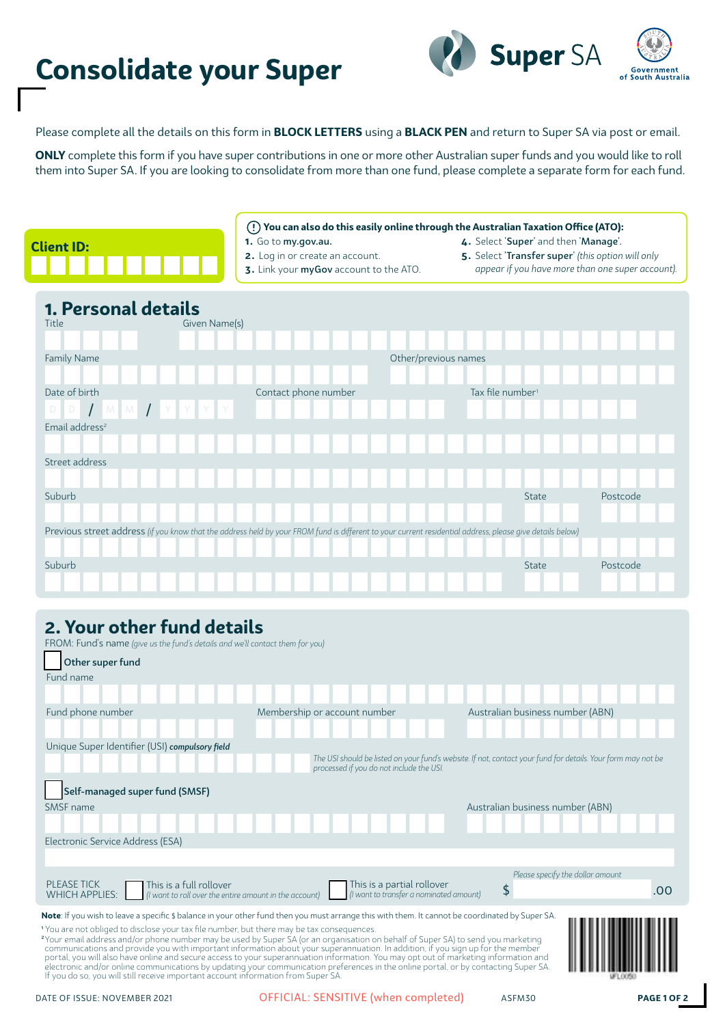# **Consolidate your Super**



Please complete all the details on this form in **BLOCK LETTERS** using a **BLACK PEN** and return to Super SA via post or email.

**ONLY** complete this form if you have super contributions in one or more other Australian super funds and you would like to roll them into Super SA. If you are looking to consolidate from more than one fund, please complete a separate form for each fund.

#### **You can also do this easily online through the Australian Taxation Office (ATO): 1.** Go to my.gov.au. **2.** Log in or create an account. **3 .** Link your myGov account to the ATO. **4.** Select 'Super' and then 'Manage'. **5.** Select 'Transfer super' *(this option will only appear if you have more than one super account).* **Client ID:**

| <b>1. Personal details</b><br>Title                                                                                                                       | Given Name(s)                                        |       |          |  |  |  |
|-----------------------------------------------------------------------------------------------------------------------------------------------------------|------------------------------------------------------|-------|----------|--|--|--|
|                                                                                                                                                           |                                                      |       |          |  |  |  |
| <b>Family Name</b>                                                                                                                                        | Other/previous names                                 |       |          |  |  |  |
| Date of birth                                                                                                                                             | Tax file number <sup>1</sup><br>Contact phone number |       |          |  |  |  |
| $\mathcal{F}$ M M $\mathcal{F}$ Y Y Y Y<br>D<br>D                                                                                                         |                                                      |       |          |  |  |  |
| Email address <sup>2</sup>                                                                                                                                |                                                      |       |          |  |  |  |
|                                                                                                                                                           |                                                      |       |          |  |  |  |
| Street address                                                                                                                                            |                                                      |       |          |  |  |  |
|                                                                                                                                                           |                                                      |       |          |  |  |  |
| Suburb                                                                                                                                                    |                                                      | State | Postcode |  |  |  |
|                                                                                                                                                           |                                                      |       |          |  |  |  |
| Previous street address (if you know that the address held by your FROM fund is different to your current residential address, please give details below) |                                                      |       |          |  |  |  |
|                                                                                                                                                           |                                                      |       |          |  |  |  |
| Suburb                                                                                                                                                    |                                                      | State | Postcode |  |  |  |
|                                                                                                                                                           |                                                      |       |          |  |  |  |

## **2. Your other fund details**

| FROM: Fund's name (give us the fund's details and we'll contact them for you)                                                                                                                                                                                                                                                 |                                                                                                                                                                                                                                                                                                                                                                                                                |                                                                                                              |
|-------------------------------------------------------------------------------------------------------------------------------------------------------------------------------------------------------------------------------------------------------------------------------------------------------------------------------|----------------------------------------------------------------------------------------------------------------------------------------------------------------------------------------------------------------------------------------------------------------------------------------------------------------------------------------------------------------------------------------------------------------|--------------------------------------------------------------------------------------------------------------|
| Other super fund                                                                                                                                                                                                                                                                                                              |                                                                                                                                                                                                                                                                                                                                                                                                                |                                                                                                              |
| Fund name                                                                                                                                                                                                                                                                                                                     |                                                                                                                                                                                                                                                                                                                                                                                                                |                                                                                                              |
| Fund phone number                                                                                                                                                                                                                                                                                                             | Membership or account number                                                                                                                                                                                                                                                                                                                                                                                   | Australian business number (ABN)                                                                             |
| Unique Super Identifier (USI) compulsory field                                                                                                                                                                                                                                                                                | processed if you do not include the USI.                                                                                                                                                                                                                                                                                                                                                                       | The USI should be listed on your fund's website. If not, contact your fund for details. Your form may not be |
| Self-managed super fund (SMSF)                                                                                                                                                                                                                                                                                                |                                                                                                                                                                                                                                                                                                                                                                                                                |                                                                                                              |
| SMSF name                                                                                                                                                                                                                                                                                                                     |                                                                                                                                                                                                                                                                                                                                                                                                                | Australian business number (ABN)                                                                             |
|                                                                                                                                                                                                                                                                                                                               |                                                                                                                                                                                                                                                                                                                                                                                                                |                                                                                                              |
| Electronic Service Address (ESA)                                                                                                                                                                                                                                                                                              |                                                                                                                                                                                                                                                                                                                                                                                                                |                                                                                                              |
|                                                                                                                                                                                                                                                                                                                               |                                                                                                                                                                                                                                                                                                                                                                                                                |                                                                                                              |
| <b>PLEASE TICK</b><br>This is a full rollover<br><b>WHICH APPLIES:</b><br>(I want to roll over the entire amount in the account)                                                                                                                                                                                              | This is a partial rollover<br>(I want to transfer a nominated amount)                                                                                                                                                                                                                                                                                                                                          | Please specify the dollar amount<br>\$<br>.00                                                                |
| Note: If you wish to leave a specific \$ balance in your other fund then you must arrange this with them. It cannot be coordinated by Super SA.                                                                                                                                                                               |                                                                                                                                                                                                                                                                                                                                                                                                                |                                                                                                              |
| Tou are not obliged to disclose your tax file number, but there may be tax consequences.<br><sup>2</sup> Your email address and/or phone number may be used by Super SA (or an organisation on behalf of Super SA) to send you marketing<br>If you do so, you will still receive important account information from Super SA. | communications and provide you with important information about your superannuation. In addition, if you sign up for the member<br>portal, you will also have online and secure access to your superannuation information. You may opt out of marketing information and<br>electronic and/or online communications by updating your communication preferences in the online portal, or by contacting Super SA. |                                                                                                              |

OFFICIAL: SENSITIVE (when completed) ASFM30 **PAGE 1 OF 2**